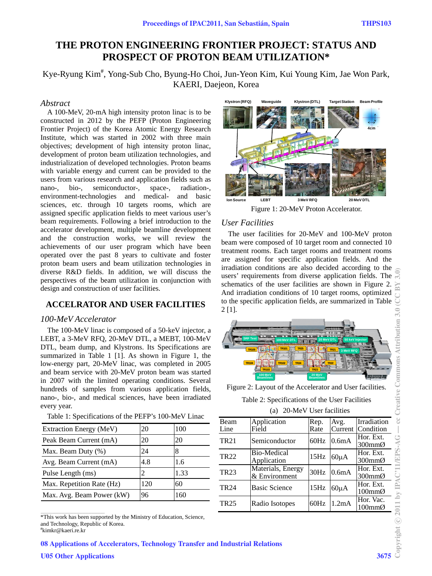**4cm**

**Beam Profile**

# **THE PROTON ENGINEERING FRONTIER PROJECT: STATUS AND PROSPECT OF PROTON BEAM UTILIZATION\***

Kye-Ryung Kim<sup>#</sup>, Yong-Sub Cho, Byung-Ho Choi, Jun-Yeon Kim, Kui Young Kim, Jae Won Park, KAERI, Daejeon, Korea

#### *Abstract*

A 100-MeV, 20-mA high intensity proton linac is to be constructed in 2012 by the PEFP (Proton Engineering Frontier Project) of the Korea Atomic Energy Research Institute, which was started in 2002 with three main objectives; development of high intensity proton linac, development of proton beam utilization technologies, and industrialization of developed technologies. Proton beams with variable energy and current can be provided to the users from various research and application fields such as nano-, bio-, semiconductor-, space-, radiation-, environment-technologies and medical- and basic sciences, etc. through 10 targets rooms, which are assigned specific application fields to meet various user's beam requirements. Following a brief introduction to the accelerator development, multiple beamline development and the construction works, we will review the achievements of our user program which have been operated over the past 8 years to cultivate and foster proton beam users and beam utilization technologies in diverse R&D fields. In addition, we will discuss the perspectives of the beam utilization in conjunction with design and construction of user facilities.

### **ACCELRATOR AND USER FACILITIES**

#### *100-MeV Accelerator*

The 100-MeV linac is composed of a 50-keV injector, a LEBT, a 3-MeV RFQ, 20-MeV DTL, a MEBT, 100-MeV DTL, beam dump, and Klystrons. Its Specifications are summarized in Table 1 [1]. As shown in Figure 1, the low-energy part, 20-MeV linac, was completed in 2005 and beam service with 20-MeV proton beam was started in 2007 with the limited operating conditions. Several hundreds of samples from various application fields, nano-, bio-, and medical sciences, have been irradiated every year.

| Extraction Energy (MeV)   | 20  | 100  |
|---------------------------|-----|------|
| Peak Beam Current (mA)    | 20  | 20   |
| Max. Beam Duty (%)        | 24  | 8    |
| Avg. Beam Current (mA)    | 4.8 | 1.6  |
| Pulse Length (ms)         | 2   | 1.33 |
| Max. Repetition Rate (Hz) | 120 | 60   |
| Max. Avg. Beam Power (kW) | 96  | 160  |

Table 1: Specifications of the PEFP's 100-MeV Linac

\*This work has been supported by the Ministry of Education, Science, and Technology, Republic of Korea.

# kimkr@kaeri.re.kr

\_\_\_\_\_\_\_\_\_\_\_\_\_\_\_\_\_\_\_\_\_\_\_\_\_\_\_\_\_\_\_\_\_\_\_\_\_\_\_\_\_\_\_



**Waveguide Klystron (DTL) Klystron (RFQ) Target Station**

Figure 1: 20-MeV Proton Accelerator.

## *User Facilities*

The user facilities for 20-MeV and 100-MeV proton beam were composed of 10 target room and connected 10 treatment rooms. Each target rooms and treatment rooms are assigned for specific application fields. And the irradiation conditions are also decided according to the users' requirements from diverse application fields. The schematics of the user facilities are shown in Figure 2. And irradiation conditions of 10 target rooms, optimized to the specific application fields, are summarized in Table 2 [1].



Figure 2: Layout of the Accelerator and User facilities.

Table 2: Specifications of the User Facilities

|  | (a) 20-MeV User facilities |
|--|----------------------------|
|  |                            |

| Beam        | Application                        | Rep. | Avg.               | Irradiation                                |  |
|-------------|------------------------------------|------|--------------------|--------------------------------------------|--|
| Line        | Field                              | Rate | Current            | Condition                                  |  |
| <b>TR21</b> | Semiconductor                      | 60Hz | 0.6 <sub>m</sub> A | Hor. Ext.<br>$300 \text{mm}$ Ø             |  |
| <b>TR22</b> | <b>Bio-Medical</b><br>Application  | 15Hz | $60\mu A$          | Hor. Ext.<br>$300 \text{mm}$ Ø             |  |
| <b>TR23</b> | Materials, Energy<br>& Environment | 30Hz | 0.6 <sub>m</sub> A | Hor. Ext.<br>$300 \text{mm}$ Ø             |  |
| <b>TR24</b> | <b>Basic Science</b>               | 15Hz | $60\mu A$          | Hor. Ext.<br>$100 \text{mm}$ $\varnothing$ |  |
| <b>TR25</b> | Radio Isotopes                     | 60Hz | 1.2mA              | Hor. Vac.<br>$100 \text{mm}$ Ø             |  |

08 Applications of Accelerators, Technology Transfer and Industrial Relations

 $-$  cc Creative Commons Attribution 3.0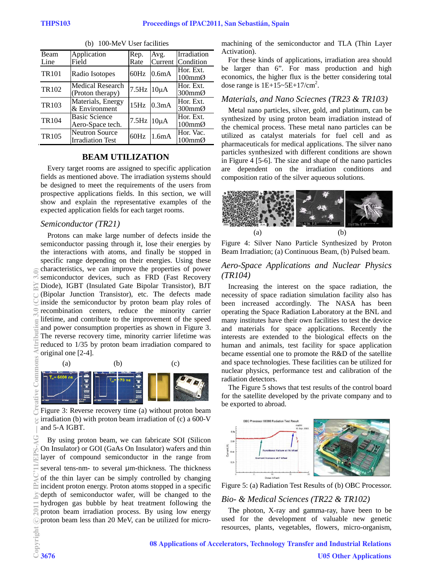| Beam              | Application                                      | Rep.               | Avg.    | Irradiation                                |
|-------------------|--------------------------------------------------|--------------------|---------|--------------------------------------------|
| Line              | Field                                            | Rate               | Current | Condition                                  |
| <b>TR101</b>      | Radio Isotopes                                   | 60Hz               | 0.6mA   | Hor. Ext.<br>$100 \text{mm}$ $\varnothing$ |
| TR102             | Medical Research<br>(Proton therapy)             | $7.5$ Hz $10\mu$ A |         | Hor. Ext.<br>$300 \text{mm}$ $\varnothing$ |
| TR <sub>103</sub> | Materials, Energy<br>& Environment               | 15Hz               | 0.3mA   | Hor. Ext.<br>$300 \text{mm}$ $\varnothing$ |
| <b>TR104</b>      | <b>Basic Science</b><br>Aero-Space tech.         | $7.5$ Hz $10\mu$ A |         | Hor. Ext.<br>$100 \text{mm}$ $\varnothing$ |
| <b>TR105</b>      | <b>Neutron Source</b><br><b>Irradiation Test</b> | 60Hz               | 1.6mA   | Hor. Vac.<br>$100 \text{mm}$ Ø             |

(b) 100-MeV User facilities

#### **BEAM UTILIZATION**

Every target rooms are assigned to specific application fields as mentioned above. The irradiation systems should be designed to meet the requirements of the users from prospective applications fields. In this section, we will show and explain the representative examples of the expected application fields for each target rooms.

#### Semiconductor (TR21)

Protons can make large number of defects inside the semiconductor passing through it, lose their energies by the interactions with atoms, and finally be stopped in specific range depending on their energies. Using these characteristics, we can improve the properties of power semiconductor devices, such as FRD (Fast Recovery Diode), IGBT (Insulated Gate Bipolar Transistor), BJT (Bipolar Junction Transistor), etc. The defects made inside the semiconductor by proton beam play roles of recombination centers, reduce the minority carrier lifetime, and contribute to the improvement of the speed and power consumption properties as shown in Figure 3. The reverse recovery time, minority carrier lifetime was reduced to 1/35 by proton beam irradiation compared to original one [2-4].



Figure 3: Reverse recovery time (a) without proton beam irradiation (b) with proton beam irradiation of  $(c)$  a 600-V and 5-A IGBT.

By using proton beam, we can fabricate SOI (Silicon On Insulator) or GOI (GaAs On Insulator) wafers and thin layer of compound semiconductor in the range from several tens-nm- to several  $\mu$ m-thickness. The thickness of the thin layer can be simply controlled by changing incident proton energy. Proton atoms stopped in a specific depth of semiconductor wafer, will be changed to the hydrogen gas bubble by heat treatment following the proton beam irradiation process. By using low energy oproton beam less than 20 MeV, can be utilized for micromachining of the semiconductor and TLA (Thin Layer Activation).

For these kinds of applications, irradiation area should be larger than 6". For mass production and high economics, the higher flux is the better considering total dose range is  $1E+15-5E+17/cm^2$ .

### Materials, and Nano Sciecnes (TR23 & TR103)

Metal nano particles, silver, gold, and platinum, can be synthesized by using proton beam irradiation instead of the chemical process. These metal nano particles can be utilized as catalyst materials for fuel cell and as pharmaceuticals for medical applications. The silver nano particles synthesized with different conditions are shown in Figure 4 [5-6]. The size and shape of the nano particles are dependent on the irradiation conditions and composition ratio of the silver aqueous solutions.



Figure 4: Silver Nano Particle Synthesized by Proton Beam Irradiation; (a) Continuous Beam, (b) Pulsed beam.

### Aero-Space Applications and Nuclear Physics  $(TRI04)$

Increasing the interest on the space radiation, the necessity of space radiation simulation facility also has been increased accordingly. The NASA has been operating the Space Radiation Laboratory at the BNL and many institutes have their own facilities to test the device and materials for space applications. Recently the interests are extended to the biological effects on the human and animals, test facility for space application became essential one to promote the R&D of the satellite and space technologies. These facilities can be utilized for nuclear physics, performance test and calibration of the radiation detectors.

The Figure 5 shows that test results of the control board for the satellite developed by the private company and to be exported to abroad.



Figure 5: (a) Radiation Test Results of (b) OBC Processor.

#### Bio- & Medical Sciences (TR22 & TR102)

The photon, X-ray and gamma-ray, have been to be used for the development of valuable new genetic resources, plants, vegetables, flowers, micro-organism,

08 Applications of Accelerators, Technology Transfer and Industrial Relations **U05 Other Applications**